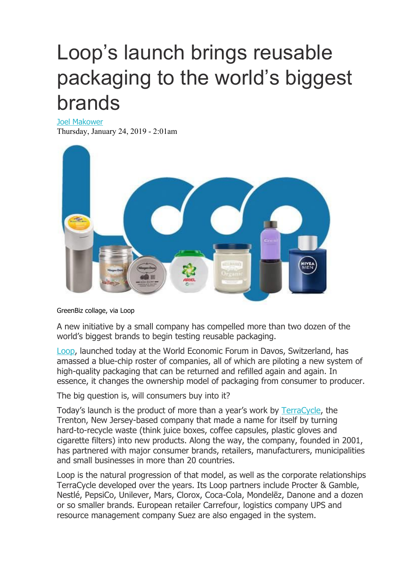# Loop's launch brings reusable packaging to the world's biggest brands

Joel [Makower](https://www.greenbiz.com/users/joel-makower)

Thursday, January 24, 2019 - 2:01am



GreenBiz collage, via Loop

A new initiative by a small company has compelled more than two dozen of the world's biggest brands to begin testing reusable packaging.

[Loop,](http://www.loopstore.com/) launched today at the World Economic Forum in Davos, Switzerland, has amassed a blue-chip roster of companies, all of which are piloting a new system of high-quality packaging that can be returned and refilled again and again. In essence, it changes the ownership model of packaging from consumer to producer.

The big question is, will consumers buy into it?

Today's launch is the product of more than a year's work by [TerraCycle](https://www.terracycle.com/en-US/), the Trenton, New Jersey-based company that made a name for itself by turning hard-to-recycle waste (think juice boxes, coffee capsules, plastic gloves and cigarette filters) into new products. Along the way, the company, founded in 2001, has partnered with major consumer brands, retailers, manufacturers, municipalities and small businesses in more than 20 countries.

Loop is the natural progression of that model, as well as the corporate relationships TerraCycle developed over the years. Its Loop partners include Procter & Gamble, Nestlé, PepsiCo, Unilever, Mars, Clorox, Coca-Cola, Mondelēz, Danone and a dozen or so smaller brands. European retailer Carrefour, logistics company UPS and resource management company Suez are also engaged in the system.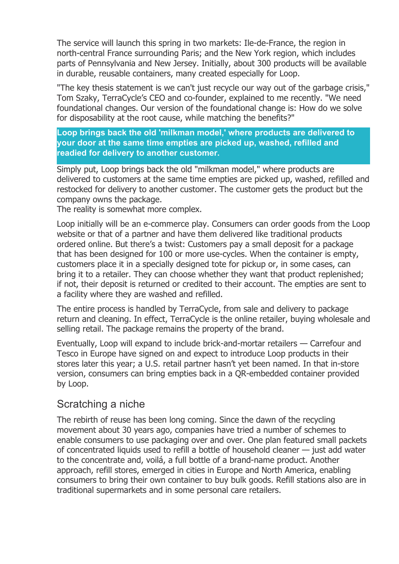The service will launch this spring in two markets: Ile-de-France, the region in north-central France surrounding Paris; and the New York region, which includes parts of Pennsylvania and New Jersey. Initially, about 300 products will be available in durable, reusable containers, many created especially for Loop.

"The key thesis statement is we can't just recycle our way out of the garbage crisis," Tom Szaky, TerraCycle's CEO and co-founder, explained to me recently. "We need foundational changes. Our version of the foundational change is: How do we solve for disposability at the root cause, while matching the benefits?"

**Loop brings back the old 'milkman model,' where products are delivered to your door at the same time empties are picked up, washed, refilled and readied for delivery to another customer.**

Simply put, Loop brings back the old "milkman model," where products are delivered to customers at the same time empties are picked up, washed, refilled and restocked for delivery to another customer. The customer gets the product but the company owns the package.

The reality is somewhat more complex.

Loop initially will be an e-commerce play. Consumers can order goods from the Loop website or that of a partner and have them delivered like traditional products ordered online. But there's a twist: Customers pay a small deposit for a package that has been designed for 100 or more use-cycles. When the container is empty, customers place it in a specially designed tote for pickup or, in some cases, can bring it to a retailer. They can choose whether they want that product replenished; if not, their deposit is returned or credited to their account. The empties are sent to a facility where they are washed and refilled.

The entire process is handled by TerraCycle, from sale and delivery to package return and cleaning. In effect, TerraCycle is the online retailer, buying wholesale and selling retail. The package remains the property of the brand.

Eventually, Loop will expand to include brick-and-mortar retailers — Carrefour and Tesco in Europe have signed on and expect to introduce Loop products in their stores later this year; a U.S. retail partner hasn't yet been named. In that in-store version, consumers can bring empties back in a QR-embedded container provided by Loop.

### Scratching a niche

The rebirth of reuse has been long coming. Since the dawn of the recycling movement about 30 years ago, companies have tried a number of schemes to enable consumers to use packaging over and over. One plan featured small packets of concentrated liquids used to refill a bottle of household cleaner — just add water to the concentrate and, voilá, a full bottle of a brand-name product. Another approach, refill stores, emerged in cities in Europe and North America, enabling consumers to bring their own container to buy bulk goods. Refill stations also are in traditional supermarkets and in some personal care retailers.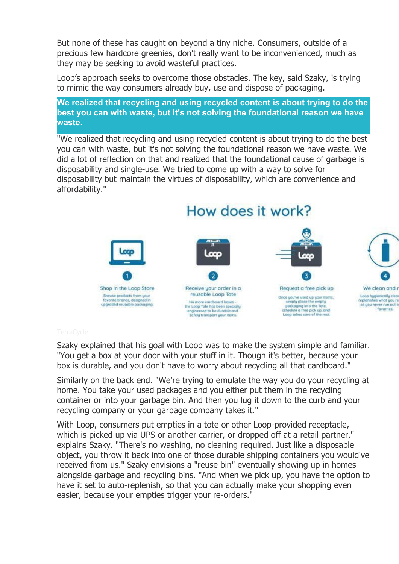But none of these has caught on beyond a tiny niche. Consumers, outside of a precious few hardcore greenies, don't really want to be inconvenienced, much as they may be seeking to avoid wasteful practices.

Loop's approach seeks to overcome those obstacles. The key, said Szaky, is trying to mimic the way consumers already buy, use and dispose of packaging.

**We realized that recycling and using recycled content is about trying to do the best you can with waste, but it's not solving the foundational reason we have waste.**

"We realized that recycling and using recycled content is about trying to do the best you can with waste, but it's not solving the foundational reason we have waste. We did a lot of reflection on that and realized that the foundational cause of garbage is disposability and single-use. We tried to come up with a way to solve for disposability but maintain the virtues of disposability, which are convenience and affordability."

### How does it work? ccc 4 3 Request a free pick up Shop in the Loop Store Receive your order in a We clean and a reusable Loop Tote Browse products from your Logo hugienically c Once you've used up your items, favorité brands, designed in replenish what upone No more cordboard boxes simply place the empty upgraded reusable packaging. so you never run out o pockaging into the Tote,<br>schedule a free pick up, and<br>Luop tokes care of the rest. the Loop Tote has been specially engineered to be durable and<br>safely transport your items. fovorites.

Szaky explained that his goal with Loop was to make the system simple and familiar. "You get a box at your door with your stuff in it. Though it's better, because your box is durable, and you don't have to worry about recycling all that cardboard."

Similarly on the back end. "We're trying to emulate the way you do your recycling at home. You take your used packages and you either put them in the recycling container or into your garbage bin. And then you lug it down to the curb and your recycling company or your garbage company takes it."

With Loop, consumers put empties in a tote or other Loop-provided receptacle, which is picked up via UPS or another carrier, or dropped off at a retail partner," explains Szaky. "There's no washing, no cleaning required. Just like a disposable object, you throw it back into one of those durable shipping containers you would've received from us." Szaky envisions a "reuse bin" eventually showing up in homes alongside garbage and recycling bins. "And when we pick up, you have the option to have it set to auto-replenish, so that you can actually make your shopping even easier, because your empties trigger your re-orders."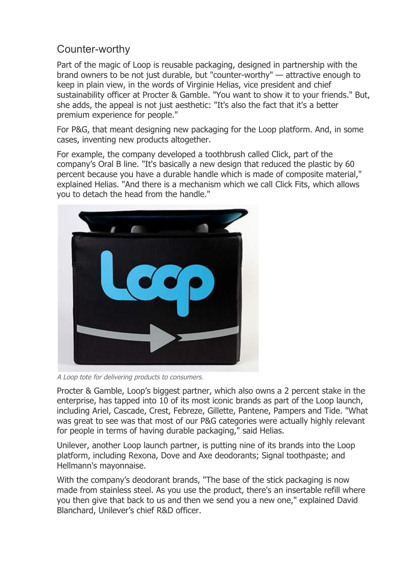## Counter-worthy

Part of the magic of Loop is reusable packaging, designed in partnership with the brand owners to be not just durable, but "counter-worthy" — attractive enough to keep in plain view, in the words of Virginie Helias, vice president and chief sustainability officer at Procter & Gamble. "You want to show it to your friends." But, she adds, the appeal is not just aesthetic: "It's also the fact that it's a better premium experience for people."

For P&G, that meant designing new packaging for the Loop platform. And, in some cases, inventing new products altogether.

For example, the company developed a toothbrush called Click, part of the company's Oral B line. "It's basically a new design that reduced the plastic by 60 percent because you have a durable handle which is made of composite material," explained Helias. "And there is a mechanism which we call Click Fits, which allows you to detach the head from the handle."



A Loop tote for delivering products to consumers.

Procter & Gamble, Loop's biggest partner, which also owns a 2 percent stake in the enterprise, has tapped into 10 of its most iconic brands as part of the Loop launch, including Ariel, Cascade, Crest, Febreze, Gillette, Pantene, Pampers and Tide. "What was great to see was that most of our P&G categories were actually highly relevant for people in terms of having durable packaging," said Helias.

Unilever, another Loop launch partner, is putting nine of its brands into the Loop platform, including Rexona, Dove and Axe deodorants; Signal toothpaste; and Hellmann's mayonnaise.

With the company's deodorant brands, "The base of the stick packaging is now made from stainless steel. As you use the product, there's an insertable refill where you then give that back to us and then we send you a new one," explained David Blanchard, Unilever's chief R&D officer.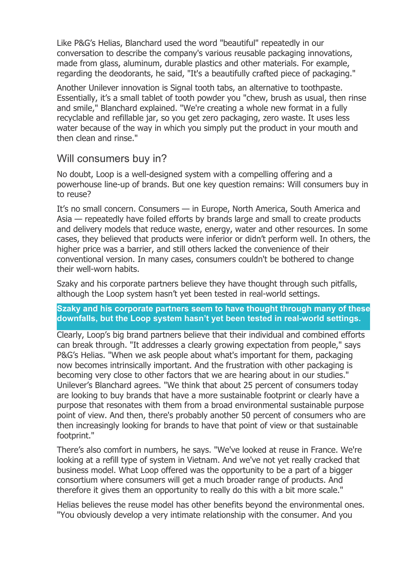Like P&G's Helias, Blanchard used the word "beautiful" repeatedly in our conversation to describe the company's various reusable packaging innovations, made from glass, aluminum, durable plastics and other materials. For example, regarding the deodorants, he said, "It's a beautifully crafted piece of packaging."

Another Unilever innovation is Signal tooth tabs, an alternative to toothpaste. Essentially, it's a small tablet of tooth powder you "chew, brush as usual, then rinse and smile," Blanchard explained. "We're creating a whole new format in a fully recyclable and refillable jar, so you get zero packaging, zero waste. It uses less water because of the way in which you simply put the product in your mouth and then clean and rinse."

### Will consumers buy in?

No doubt, Loop is a well-designed system with a compelling offering and a powerhouse line-up of brands. But one key question remains: Will consumers buy in to reuse?

It's no small concern. Consumers — in Europe, North America, South America and Asia — repeatedly have foiled efforts by brands large and small to create products and delivery models that reduce waste, energy, water and other resources. In some cases, they believed that products were inferior or didn't perform well. In others, the higher price was a barrier, and still others lacked the convenience of their conventional version. In many cases, consumers couldn't be bothered to change their well-worn habits.

Szaky and his corporate partners believe they have thought through such pitfalls, although the Loop system hasn't yet been tested in real-world settings.

### **Szaky and his corporate partners seem to have thought through many of these downfalls, but the Loop system hasn't yet been tested in real-world settings.**

Clearly, Loop's big brand partners believe that their individual and combined efforts can break through. "It addresses a clearly growing expectation from people," says P&G's Helias. "When we ask people about what's important for them, packaging now becomes intrinsically important. And the frustration with other packaging is becoming very close to other factors that we are hearing about in our studies." Unilever's Blanchard agrees. "We think that about 25 percent of consumers today are looking to buy brands that have a more sustainable footprint or clearly have a purpose that resonates with them from a broad environmental sustainable purpose point of view. And then, there's probably another 50 percent of consumers who are then increasingly looking for brands to have that point of view or that sustainable footprint."

There's also comfort in numbers, he says. "We've looked at reuse in France. We're looking at a refill type of system in Vietnam. And we've not yet really cracked that business model. What Loop offered was the opportunity to be a part of a bigger consortium where consumers will get a much broader range of products. And therefore it gives them an opportunity to really do this with a bit more scale."

Helias believes the reuse model has other benefits beyond the environmental ones. "You obviously develop a very intimate relationship with the consumer. And you